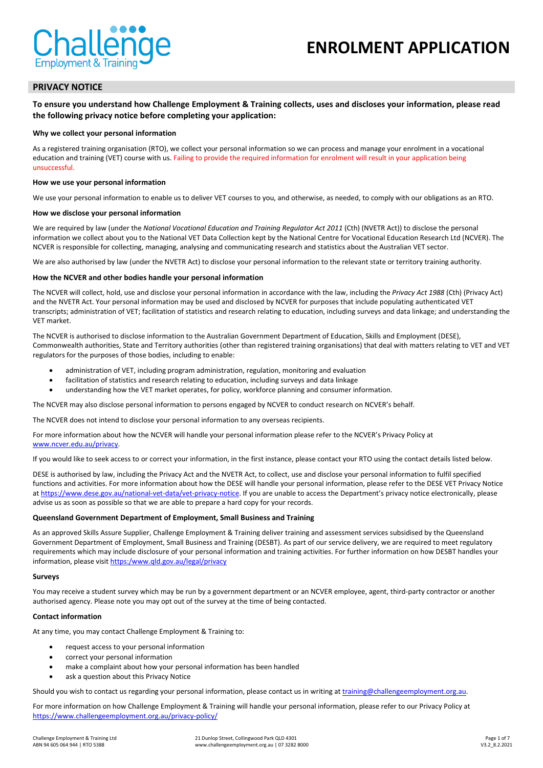

# **ENROLMENT APPLICATION**

## **PRIVACY NOTICE**

**To ensure you understand how Challenge Employment & Training collects, uses and discloses your information, please read the following privacy notice before completing your application:**

#### **Why we collect your personal information**

As a registered training organisation (RTO), we collect your personal information so we can process and manage your enrolment in a vocational education and training (VET) course with us. Failing to provide the required information for enrolment will result in your application being unsuccessful.

#### **How we use your personal information**

We use your personal information to enable us to deliver VET courses to you, and otherwise, as needed, to comply with our obligations as an RTO.

#### **How we disclose your personal information**

We are required by law (under the *National Vocational Education and Training Regulator Act 2011* (Cth) (NVETR Act)) to disclose the personal information we collect about you to the National VET Data Collection kept by the National Centre for Vocational Education Research Ltd (NCVER). The NCVER is responsible for collecting, managing, analysing and communicating research and statistics about the Australian VET sector.

We are also authorised by law (under the NVETR Act) to disclose your personal information to the relevant state or territory training authority.

#### **How the NCVER and other bodies handle your personal information**

The NCVER will collect, hold, use and disclose your personal information in accordance with the law, including the *Privacy Act 1988* (Cth) (Privacy Act) and the NVETR Act. Your personal information may be used and disclosed by NCVER for purposes that include populating authenticated VET transcripts; administration of VET; facilitation of statistics and research relating to education, including surveys and data linkage; and understanding the VET market.

The NCVER is authorised to disclose information to the Australian Government Department of Education, Skills and Employment (DESE), Commonwealth authorities, State and Territory authorities (other than registered training organisations) that deal with matters relating to VET and VET regulators for the purposes of those bodies, including to enable:

- administration of VET, including program administration, regulation, monitoring and evaluation
- facilitation of statistics and research relating to education, including surveys and data linkage
- understanding how the VET market operates, for policy, workforce planning and consumer information.

The NCVER may also disclose personal information to persons engaged by NCVER to conduct research on NCVER's behalf.

The NCVER does not intend to disclose your personal information to any overseas recipients.

For more information about how the NCVER will handle your personal information please refer to the NCVER's Privacy Policy at [www.ncver.edu.au/privacy.](file://192.168.0.200/YUPI-Group/RTO%20and%20Training%20Operations/Archive%202019/Quality%20Assurance/Forms/Sign%20Up%20Pack/www.ncver.edu.au/privacy) 

If you would like to seek access to or correct your information, in the first instance, please contact your RTO using the contact details listed below.

DESE is authorised by law, including the Privacy Act and the NVETR Act, to collect, use and disclose your personal information to fulfil specified functions and activities. For more information about how the DESE will handle your personal information, please refer to the DESE VET Privacy Notice at https://www.dese.gov.au/national-vet-data/vet-privacy-notice</u>. If you are unable to access the Department's privacy notice electronically, please advise us as soon as possible so that we are able to prepare a hard copy for your records.

#### **Queensland Government Department of Employment, Small Business and Training**

As an approved Skills Assure Supplier, Challenge Employment & Training deliver training and assessment services subsidised by the Queensland Government Department of Employment, Small Business and Training (DESBT). As part of our service delivery, we are required to meet regulatory requirements which may include disclosure of your personal information and training activities. For further information on how DESBT handles your information, please visit [https:/www.qld.gov.au/legal/privacy](https://www.qld.gov.au/legal/privacy)

#### **Surveys**

You may receive a student survey which may be run by a government department or an NCVER employee, agent, third-party contractor or another authorised agency. Please note you may opt out of the survey at the time of being contacted.

#### **Contact information**

At any time, you may contact Challenge Employment & Training to:

- request access to your personal information
- correct your personal information
- make a complaint about how your personal information has been handled
- ask a question about this Privacy Notice

Should you wish to contact us regarding your personal information, please contact us in writing a[t training@challengeemployment.org.au.](mailto:training@challengeemployment.org.au) 

For more information on how Challenge Employment & Training will handle your personal information, please refer to our Privacy Policy at <https://www.challengeemployment.org.au/privacy-policy/>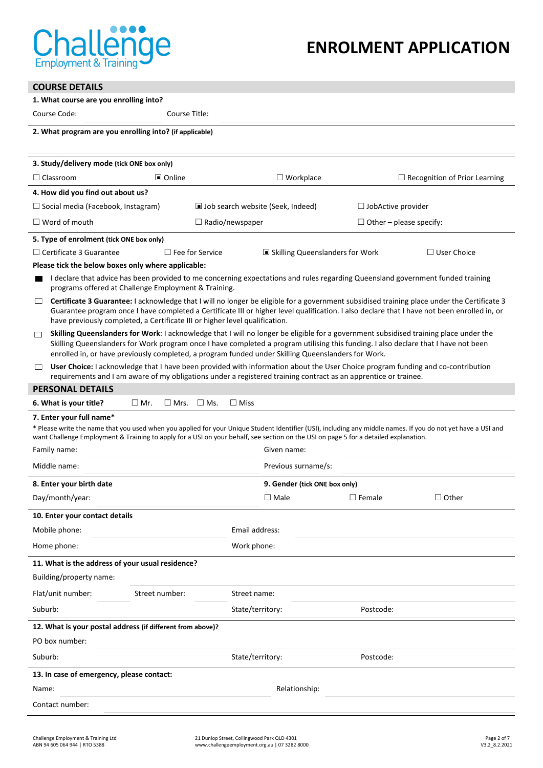

# **COURSE DETAILS**

## **1. What course are you enrolling into?**

Course Code: Course Title:

# **2. What program are you enrolling into? (if applicable)**

| 3. Study/delivery mode (tick ONE box only)                                                                                                                                                                                                                                                                                                                                                   |                                                 |                                      |  |  |
|----------------------------------------------------------------------------------------------------------------------------------------------------------------------------------------------------------------------------------------------------------------------------------------------------------------------------------------------------------------------------------------------|-------------------------------------------------|--------------------------------------|--|--|
| □ Online<br>$\Box$ Classroom                                                                                                                                                                                                                                                                                                                                                                 | $\Box$ Workplace                                | $\Box$ Recognition of Prior Learning |  |  |
| 4. How did you find out about us?                                                                                                                                                                                                                                                                                                                                                            |                                                 |                                      |  |  |
| $\Box$ Social media (Facebook, Instagram)                                                                                                                                                                                                                                                                                                                                                    | I Job search website (Seek, Indeed)             | $\Box$ JobActive provider            |  |  |
| $\Box$ Word of mouth                                                                                                                                                                                                                                                                                                                                                                         | $\Box$ Radio/newspaper                          | $\Box$ Other – please specify:       |  |  |
| 5. Type of enrolment (tick ONE box only)                                                                                                                                                                                                                                                                                                                                                     |                                                 |                                      |  |  |
| $\Box$ Certificate 3 Guarantee<br>$\Box$ Fee for Service                                                                                                                                                                                                                                                                                                                                     | ■ Skilling Queenslanders for Work               | $\Box$ User Choice                   |  |  |
| Please tick the below boxes only where applicable:                                                                                                                                                                                                                                                                                                                                           |                                                 |                                      |  |  |
| I declare that advice has been provided to me concerning expectations and rules regarding Queensland government funded training<br>programs offered at Challenge Employment & Training.                                                                                                                                                                                                      |                                                 |                                      |  |  |
| $\Box$<br><b>Certificate 3 Guarantee:</b> I acknowledge that I will no longer be eligible for a government subsidised training place under the Certificate 3<br>Guarantee program once I have completed a Certificate III or higher level qualification. I also declare that I have not been enrolled in, or<br>have previously completed, a Certificate III or higher level qualification.  |                                                 |                                      |  |  |
| Skilling Queenslanders for Work: I acknowledge that I will no longer be eligible for a government subsidised training place under the<br>$\Box$<br>Skilling Queenslanders for Work program once I have completed a program utilising this funding. I also declare that I have not been<br>enrolled in, or have previously completed, a program funded under Skilling Queenslanders for Work. |                                                 |                                      |  |  |
| User Choice: I acknowledge that I have been provided with information about the User Choice program funding and co-contribution<br>$\Box$<br>requirements and I am aware of my obligations under a registered training contract as an apprentice or trainee.                                                                                                                                 |                                                 |                                      |  |  |
| <b>PERSONAL DETAILS</b>                                                                                                                                                                                                                                                                                                                                                                      |                                                 |                                      |  |  |
| 6. What is your title?<br>$\Box$ Mr.<br>$\square$ Mrs.<br>$\square$ Ms.                                                                                                                                                                                                                                                                                                                      | $\Box$ Miss                                     |                                      |  |  |
| 7. Enter your full name*<br>* Please write the name that you used when you applied for your Unique Student Identifier (USI), including any middle names. If you do not yet have a USI and<br>want Challenge Employment & Training to apply for a USI on your behalf, see section on the USI on page 5 for a detailed explanation.<br>Family name:<br>Given name:                             |                                                 |                                      |  |  |
| Middle name:                                                                                                                                                                                                                                                                                                                                                                                 | Previous surname/s:                             |                                      |  |  |
|                                                                                                                                                                                                                                                                                                                                                                                              |                                                 |                                      |  |  |
| 8. Enter your birth date<br>Day/month/year:                                                                                                                                                                                                                                                                                                                                                  | 9. Gender (tick ONE box only)<br>$\square$ Male | $\Box$ Female<br>$\Box$ Other        |  |  |
|                                                                                                                                                                                                                                                                                                                                                                                              |                                                 |                                      |  |  |
| 10. Enter your contact details                                                                                                                                                                                                                                                                                                                                                               |                                                 |                                      |  |  |
| Mobile phone:                                                                                                                                                                                                                                                                                                                                                                                | Email address:                                  |                                      |  |  |
| Home phone:                                                                                                                                                                                                                                                                                                                                                                                  | Work phone:                                     |                                      |  |  |
| 11. What is the address of your usual residence?                                                                                                                                                                                                                                                                                                                                             |                                                 |                                      |  |  |
| Building/property name:                                                                                                                                                                                                                                                                                                                                                                      |                                                 |                                      |  |  |
| Flat/unit number:<br>Street number:                                                                                                                                                                                                                                                                                                                                                          | Street name:                                    |                                      |  |  |
| Suburb:                                                                                                                                                                                                                                                                                                                                                                                      | State/territory:                                | Postcode:                            |  |  |
| 12. What is your postal address (if different from above)?                                                                                                                                                                                                                                                                                                                                   |                                                 |                                      |  |  |
| PO box number:                                                                                                                                                                                                                                                                                                                                                                               |                                                 |                                      |  |  |
| Suburb:                                                                                                                                                                                                                                                                                                                                                                                      | State/territory:                                | Postcode:                            |  |  |
| 13. In case of emergency, please contact:                                                                                                                                                                                                                                                                                                                                                    |                                                 |                                      |  |  |
| Name:<br>Relationship:                                                                                                                                                                                                                                                                                                                                                                       |                                                 |                                      |  |  |
| Contact number:                                                                                                                                                                                                                                                                                                                                                                              |                                                 |                                      |  |  |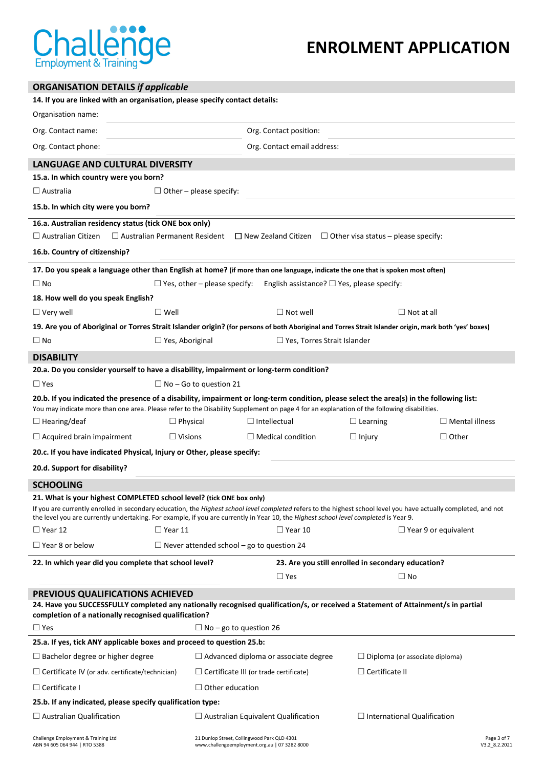

# **ENROLMENT APPLICATION**

| <b>ORGANISATION DETAILS if applicable</b>                                                                                                                                                                                                                                                                |                                                  |                                                                                              |                                                    |                              |  |
|----------------------------------------------------------------------------------------------------------------------------------------------------------------------------------------------------------------------------------------------------------------------------------------------------------|--------------------------------------------------|----------------------------------------------------------------------------------------------|----------------------------------------------------|------------------------------|--|
| 14. If you are linked with an organisation, please specify contact details:                                                                                                                                                                                                                              |                                                  |                                                                                              |                                                    |                              |  |
| Organisation name:                                                                                                                                                                                                                                                                                       |                                                  |                                                                                              |                                                    |                              |  |
| Org. Contact name:                                                                                                                                                                                                                                                                                       | Org. Contact position:                           |                                                                                              |                                                    |                              |  |
| Org. Contact phone:                                                                                                                                                                                                                                                                                      | Org. Contact email address:                      |                                                                                              |                                                    |                              |  |
| LANGUAGE AND CULTURAL DIVERSITY                                                                                                                                                                                                                                                                          |                                                  |                                                                                              |                                                    |                              |  |
| 15.a. In which country were you born?                                                                                                                                                                                                                                                                    |                                                  |                                                                                              |                                                    |                              |  |
| $\Box$ Australia                                                                                                                                                                                                                                                                                         | $\Box$ Other – please specify:                   |                                                                                              |                                                    |                              |  |
| 15.b. In which city were you born?                                                                                                                                                                                                                                                                       |                                                  |                                                                                              |                                                    |                              |  |
| 16.a. Australian residency status (tick ONE box only)                                                                                                                                                                                                                                                    |                                                  |                                                                                              |                                                    |                              |  |
| $\Box$ Australian Citizen                                                                                                                                                                                                                                                                                | $\Box$ Australian Permanent Resident             | $\Box$ New Zealand Citizen $\Box$ Other visa status – please specify:                        |                                                    |                              |  |
| 16.b. Country of citizenship?                                                                                                                                                                                                                                                                            |                                                  |                                                                                              |                                                    |                              |  |
| 17. Do you speak a language other than English at home? (if more than one language, indicate the one that is spoken most often)                                                                                                                                                                          |                                                  |                                                                                              |                                                    |                              |  |
| $\square$ No                                                                                                                                                                                                                                                                                             | $\Box$ Yes, other – please specify:              | English assistance? $\Box$ Yes, please specify:                                              |                                                    |                              |  |
| 18. How well do you speak English?                                                                                                                                                                                                                                                                       |                                                  |                                                                                              |                                                    |                              |  |
| $\Box$ Very well                                                                                                                                                                                                                                                                                         | $\square$ Well                                   | $\Box$ Not well                                                                              |                                                    | $\Box$ Not at all            |  |
| 19. Are you of Aboriginal or Torres Strait Islander origin? (for persons of both Aboriginal and Torres Strait Islander origin, mark both 'yes' boxes)                                                                                                                                                    |                                                  |                                                                                              |                                                    |                              |  |
| $\square$ No                                                                                                                                                                                                                                                                                             | $\Box$ Yes, Aboriginal                           | $\Box$ Yes, Torres Strait Islander                                                           |                                                    |                              |  |
| <b>DISABILITY</b>                                                                                                                                                                                                                                                                                        |                                                  |                                                                                              |                                                    |                              |  |
| 20.a. Do you consider yourself to have a disability, impairment or long-term condition?                                                                                                                                                                                                                  |                                                  |                                                                                              |                                                    |                              |  |
| $\Box$ Yes                                                                                                                                                                                                                                                                                               | $\Box$ No – Go to question 21                    |                                                                                              |                                                    |                              |  |
| 20.b. If you indicated the presence of a disability, impairment or long-term condition, please select the area(s) in the following list:<br>You may indicate more than one area. Please refer to the Disability Supplement on page 4 for an explanation of the following disabilities.                   |                                                  |                                                                                              |                                                    |                              |  |
| $\Box$ Hearing/deaf                                                                                                                                                                                                                                                                                      | $\Box$ Physical                                  | $\Box$ Intellectual                                                                          | $\Box$ Learning                                    | $\Box$ Mental illness        |  |
| $\Box$ Acquired brain impairment                                                                                                                                                                                                                                                                         | $\Box$ Visions                                   | $\Box$ Medical condition                                                                     | $\Box$ Injury                                      | $\Box$ Other                 |  |
| 20.c. If you have indicated Physical, Injury or Other, please specify:                                                                                                                                                                                                                                   |                                                  |                                                                                              |                                                    |                              |  |
| 20.d. Support for disability?                                                                                                                                                                                                                                                                            |                                                  |                                                                                              |                                                    |                              |  |
| <b>SCHOOLING</b>                                                                                                                                                                                                                                                                                         |                                                  |                                                                                              |                                                    |                              |  |
| 21. What is your highest COMPLETED school level? (tick ONE box only)                                                                                                                                                                                                                                     |                                                  |                                                                                              |                                                    |                              |  |
| If you are currently enrolled in secondary education, the Highest school level completed refers to the highest school level you have actually completed, and not<br>the level you are currently undertaking. For example, if you are currently in Year 10, the Highest school level completed is Year 9. |                                                  |                                                                                              |                                                    |                              |  |
| $\Box$ Year 12                                                                                                                                                                                                                                                                                           | $\Box$ Year 11                                   | $\Box$ Year 10                                                                               |                                                    | $\Box$ Year 9 or equivalent  |  |
| $\Box$ Year 8 or below                                                                                                                                                                                                                                                                                   | $\Box$ Never attended school – go to question 24 |                                                                                              |                                                    |                              |  |
| 22. In which year did you complete that school level?                                                                                                                                                                                                                                                    |                                                  |                                                                                              | 23. Are you still enrolled in secondary education? |                              |  |
|                                                                                                                                                                                                                                                                                                          |                                                  | $\Box$ Yes                                                                                   | $\square$ No                                       |                              |  |
| PREVIOUS QUALIFICATIONS ACHIEVED                                                                                                                                                                                                                                                                         |                                                  |                                                                                              |                                                    |                              |  |
| 24. Have you SUCCESSFULLY completed any nationally recognised qualification/s, or received a Statement of Attainment/s in partial<br>completion of a nationally recognised qualification?                                                                                                                |                                                  |                                                                                              |                                                    |                              |  |
| $\Box$ Yes                                                                                                                                                                                                                                                                                               |                                                  | $\Box$ No – go to question 26                                                                |                                                    |                              |  |
| 25.a. If yes, tick ANY applicable boxes and proceed to question 25.b:                                                                                                                                                                                                                                    |                                                  |                                                                                              |                                                    |                              |  |
| $\Box$ Bachelor degree or higher degree                                                                                                                                                                                                                                                                  |                                                  | $\Box$ Advanced diploma or associate degree                                                  | $\Box$ Diploma (or associate diploma)              |                              |  |
| $\Box$ Certificate II<br>$\Box$ Certificate IV (or adv. certificate/technician)<br>$\Box$ Certificate III (or trade certificate)                                                                                                                                                                         |                                                  |                                                                                              |                                                    |                              |  |
| $\Box$ Certificate I<br>$\Box$ Other education                                                                                                                                                                                                                                                           |                                                  |                                                                                              |                                                    |                              |  |
| 25.b. If any indicated, please specify qualification type:                                                                                                                                                                                                                                               |                                                  |                                                                                              |                                                    |                              |  |
| $\Box$ Australian Qualification                                                                                                                                                                                                                                                                          |                                                  | $\Box$ Australian Equivalent Qualification                                                   | $\Box$ International Qualification                 |                              |  |
| Challenge Employment & Training Ltd<br>ABN 94 605 064 944   RTO 5388                                                                                                                                                                                                                                     |                                                  | 21 Dunlop Street, Collingwood Park QLD 4301<br>www.challengeemployment.org.au   07 3282 8000 |                                                    | Page 3 of 7<br>V3.2 8.2.2021 |  |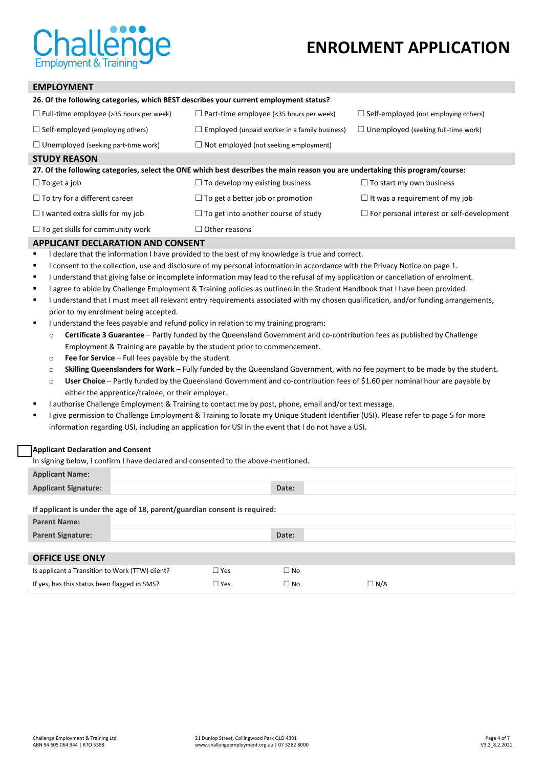

# **EMPLOYMENT**

| 26. Of the following categories, which BEST describes your current employment status?                                         |                                                      |                                                  |  |  |  |
|-------------------------------------------------------------------------------------------------------------------------------|------------------------------------------------------|--------------------------------------------------|--|--|--|
| $\Box$ Full-time employee (>35 hours per week)                                                                                | $\Box$ Part-time employee (<35 hours per week)       | $\Box$ Self-employed (not employing others)      |  |  |  |
| $\Box$ Self-employed (employing others)                                                                                       | $\Box$ Employed (unpaid worker in a family business) | $\Box$ Unemployed (seeking full-time work)       |  |  |  |
| $\Box$ Unemployed (seeking part-time work)                                                                                    | $\Box$ Not employed (not seeking employment)         |                                                  |  |  |  |
| <b>STUDY REASON</b>                                                                                                           |                                                      |                                                  |  |  |  |
| 27. Of the following categories, select the ONE which best describes the main reason you are undertaking this program/course: |                                                      |                                                  |  |  |  |
|                                                                                                                               |                                                      |                                                  |  |  |  |
| $\Box$ To get a job                                                                                                           | $\Box$ To develop my existing business               | $\Box$ To start my own business                  |  |  |  |
| $\Box$ To try for a different career                                                                                          | $\Box$ To get a better job or promotion              | $\Box$ It was a requirement of my job            |  |  |  |
| $\Box$ I wanted extra skills for my job                                                                                       | $\Box$ To get into another course of study           | $\Box$ For personal interest or self-development |  |  |  |

## **APPLICANT DECLARATION AND CONSENT**

- **I** declare that the information I have provided to the best of my knowledge is true and correct.
- I consent to the collection, use and disclosure of my personal information in accordance with the Privacy Notice on page 1.
- I understand that giving false or incomplete information may lead to the refusal of my application or cancellation of enrolment.
- I agree to abide by Challenge Employment & Training policies as outlined in the Student Handbook that I have been provided.
- I understand that I must meet all relevant entry requirements associated with my chosen qualification, and/or funding arrangements, prior to my enrolment being accepted.
- I understand the fees payable and refund policy in relation to my training program:
	- o **Certificate 3 Guarantee** Partly funded by the Queensland Government and co-contribution fees as published by Challenge Employment & Training are payable by the student prior to commencement.
	- o **Fee for Service** Full fees payable by the student.
	- o **Skilling Queenslanders for Work** Fully funded by the Queensland Government, with no fee payment to be made by the student.
	- o **User Choice** Partly funded by the Queensland Government and co-contribution fees of \$1.60 per nominal hour are payable by either the apprentice/trainee, or their employer.
- **I** authorise Challenge Employment & Training to contact me by post, phone, email and/or text message.
- " I give permission to Challenge Employment & Training to locate my Unique Student Identifier (USI). Please refer to page 5 for more information regarding USI, including an application for USI in the event that I do not have a USI.

#### **Applicant Declaration and Consent**

In signing below, I confirm I have declared and consented to the above-mentioned.

| <b>Applicant Name:</b>      |       |  |
|-----------------------------|-------|--|
| <b>Applicant Signature:</b> | Date: |  |

## **If applicant is under the age of 18, parent/guardian consent is required: Parent Name:**

| .                                               |                 |              |            |
|-------------------------------------------------|-----------------|--------------|------------|
| <b>Parent Signature:</b>                        |                 | Date:        |            |
|                                                 |                 |              |            |
| <b>OFFICE USE ONLY</b>                          |                 |              |            |
| Is applicant a Transition to Work (TTW) client? | $\Box$ Yes      | $\square$ No |            |
| If yes, has this status been flagged in SMS?    | $\sqsupset$ Yes | $\Box$ No    | $\Box$ N/A |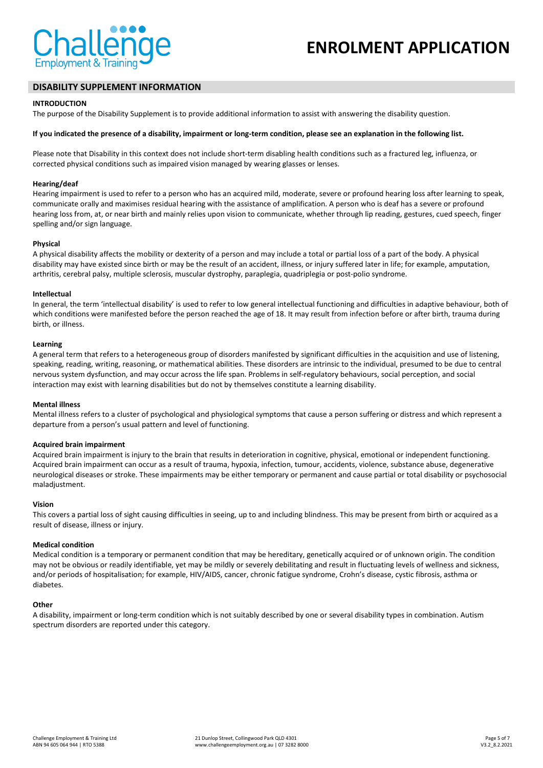

## **DISABILITY SUPPLEMENT INFORMATION**

#### **INTRODUCTION**

The purpose of the Disability Supplement is to provide additional information to assist with answering the disability question.

#### **If you indicated the presence of a disability, impairment or long-term condition, please see an explanation in the following list.**

Please note that Disability in this context does not include short-term disabling health conditions such as a fractured leg, influenza, or corrected physical conditions such as impaired vision managed by wearing glasses or lenses.

#### **Hearing/deaf**

Hearing impairment is used to refer to a person who has an acquired mild, moderate, severe or profound hearing loss after learning to speak, communicate orally and maximises residual hearing with the assistance of amplification. A person who is deaf has a severe or profound hearing loss from, at, or near birth and mainly relies upon vision to communicate, whether through lip reading, gestures, cued speech, finger spelling and/or sign language.

#### **Physical**

A physical disability affects the mobility or dexterity of a person and may include a total or partial loss of a part of the body. A physical disability may have existed since birth or may be the result of an accident, illness, or injury suffered later in life; for example, amputation, arthritis, cerebral palsy, multiple sclerosis, muscular dystrophy, paraplegia, quadriplegia or post-polio syndrome.

#### **Intellectual**

In general, the term 'intellectual disability' is used to refer to low general intellectual functioning and difficulties in adaptive behaviour, both of which conditions were manifested before the person reached the age of 18. It may result from infection before or after birth, trauma during birth, or illness.

#### **Learning**

A general term that refers to a heterogeneous group of disorders manifested by significant difficulties in the acquisition and use of listening, speaking, reading, writing, reasoning, or mathematical abilities. These disorders are intrinsic to the individual, presumed to be due to central nervous system dysfunction, and may occur across the life span. Problems in self-regulatory behaviours, social perception, and social interaction may exist with learning disabilities but do not by themselves constitute a learning disability.

#### **Mental illness**

Mental illness refers to a cluster of psychological and physiological symptoms that cause a person suffering or distress and which represent a departure from a person's usual pattern and level of functioning.

#### **Acquired brain impairment**

Acquired brain impairment is injury to the brain that results in deterioration in cognitive, physical, emotional or independent functioning. Acquired brain impairment can occur as a result of trauma, hypoxia, infection, tumour, accidents, violence, substance abuse, degenerative neurological diseases or stroke. These impairments may be either temporary or permanent and cause partial or total disability or psychosocial maladjustment.

#### **Vision**

This covers a partial loss of sight causing difficulties in seeing, up to and including blindness. This may be present from birth or acquired as a result of disease, illness or injury.

#### **Medical condition**

Medical condition is a temporary or permanent condition that may be hereditary, genetically acquired or of unknown origin. The condition may not be obvious or readily identifiable, yet may be mildly or severely debilitating and result in fluctuating levels of wellness and sickness, and/or periods of hospitalisation; for example, HIV/AIDS, cancer, chronic fatigue syndrome, Crohn's disease, cystic fibrosis, asthma or diabetes.

### **Other**

A disability, impairment or long-term condition which is not suitably described by one or several disability types in combination. Autism spectrum disorders are reported under this category.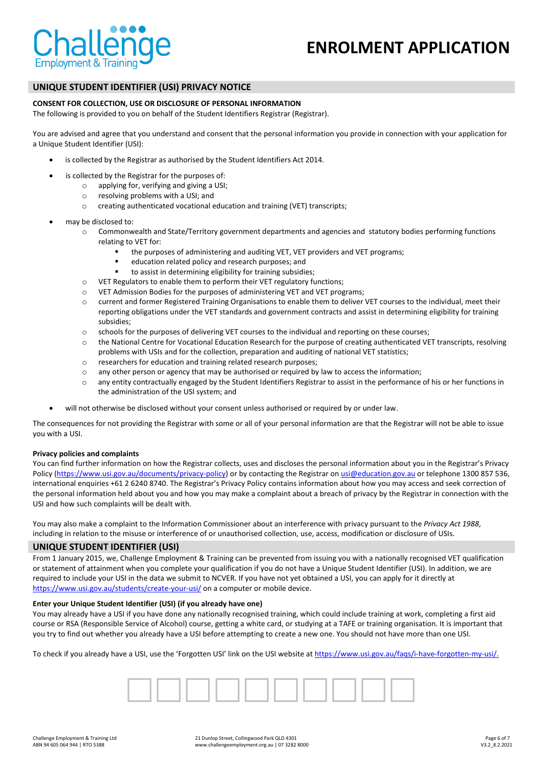

# **UNIQUE STUDENT IDENTIFIER (USI) PRIVACY NOTICE**

## **CONSENT FOR COLLECTION, USE OR DISCLOSURE OF PERSONAL INFORMATION**

The following is provided to you on behalf of the Student Identifiers Registrar (Registrar).

You are advised and agree that you understand and consent that the personal information you provide in connection with your application for a Unique Student Identifier (USI):

- is collected by the Registrar as authorised by the Student Identifiers Act 2014.
- is collected by the Registrar for the purposes of:
	- o applying for, verifying and giving a USI;
		- o resolving problems with a USI; and
		- o creating authenticated vocational education and training (VET) transcripts;
- may be disclosed to:
	- o Commonwealth and State/Territory government departments and agencies and statutory bodies performing functions relating to VET for:
		- the purposes of administering and auditing VET, VET providers and VET programs;
		- education related policy and research purposes; and
		- to assist in determining eligibility for training subsidies;
	- o VET Regulators to enable them to perform their VET regulatory functions;
	- o VET Admission Bodies for the purposes of administering VET and VET programs;
	- o current and former Registered Training Organisations to enable them to deliver VET courses to the individual, meet their reporting obligations under the VET standards and government contracts and assist in determining eligibility for training subsidies;
	- o schools for the purposes of delivering VET courses to the individual and reporting on these courses;
	- o the National Centre for Vocational Education Research for the purpose of creating authenticated VET transcripts, resolving problems with USIs and for the collection, preparation and auditing of national VET statistics;
	- o researchers for education and training related research purposes;
	- o any other person or agency that may be authorised or required by law to access the information;
	- o any entity contractually engaged by the Student Identifiers Registrar to assist in the performance of his or her functions in the administration of the USI system; and
	- will not otherwise be disclosed without your consent unless authorised or required by or under law.

The consequences for not providing the Registrar with some or all of your personal information are that the Registrar will not be able to issue you with a USI.

## **Privacy policies and complaints**

You can find further information on how the Registrar collects, uses and discloses the personal information about you in the Registrar's Privacy Policy [\(https://www.usi.gov.au/documents/privacy-policy\)](https://www.usi.gov.au/documents/privacy-policy) or by contacting the Registrar on [usi@education.gov.au](mailto:usi@education.gov.au) or telephone 1300 857 536, international enquiries +61 2 6240 8740. The Registrar's Privacy Policy contains information about how you may access and seek correction of the personal information held about you and how you may make a complaint about a breach of privacy by the Registrar in connection with the USI and how such complaints will be dealt with.

You may also make a complaint to the Information Commissioner about an interference with privacy pursuant to the *Privacy Act 1988*, including in relation to the misuse or interference of or unauthorised collection, use, access, modification or disclosure of USIs.

## **UNIQUE STUDENT IDENTIFIER (USI)**

From 1 January 2015, we, Challenge Employment & Training can be prevented from issuing you with a nationally recognised VET qualification or statement of attainment when you complete your qualification if you do not have a Unique Student Identifier (USI). In addition, we are required to include your USI in the data we submit to NCVER. If you have not yet obtained a USI, you can apply for it directly at <https://www.usi.gov.au/students/create-your-usi/> on a computer or mobile device.

#### **Enter your Unique Student Identifier (USI) (if you already have one)**

You may already have a USI if you have done any nationally recognised training, which could include training at work, completing a first aid course or RSA (Responsible Service of Alcohol) course, getting a white card, or studying at a TAFE or training organisation. It is important that you try to find out whether you already have a USI before attempting to create a new one. You should not have more than one USI.

To check if you already have a USI, use the 'Forgotten USI' link on the USI website a[t https://www.usi.gov.au/faqs/i-have-forgotten-my-usi/.](https://www.usi.gov.au/faqs/i-have-forgotten-my-usi/)